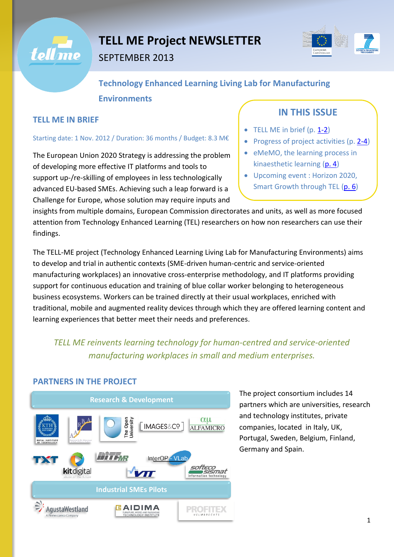



# **Technology Enhanced Learning Living Lab for Manufacturing Environments**

#### **TELL ME IN BRIEF**

#### Starting date: 1 Nov. 2012 / Duration: 36 months / Budget: 8.3 M€

<span id="page-0-0"></span>The European Union 2020 Strategy is addressing the problem of developing more effective IT platforms and tools to support up-/re-skilling of employees in less technologically advanced EU-based SMEs. Achieving such a leap forward is a Challenge for Europe, whose solution may require inputs and

## **IN THIS ISSUE**

- $\bullet$  TELL ME in brief (p. [1-2\)](#page-0-0)
- Progress of project activities (p[. 2-4\)](#page-1-0)
- eMeMO, the learning process in kinaesthetic learning [\(p. 4\)](#page-3-0)
- Upcoming event : Horizon 2020, Smart Growth through TEL [\(p. 6\)](#page-5-0)

insights from multiple domains, European Commission directorates and units, as well as more focused attention from Technology Enhanced Learning (TEL) researchers on how non researchers can use their findings.

The TELL-ME project (Technology Enhanced Learning Living Lab for Manufacturing Environments) aims to develop and trial in authentic contexts (SME-driven human-centric and service-oriented manufacturing workplaces) an innovative cross-enterprise methodology, and IT platforms providing support for continuous education and training of blue collar worker belonging to heterogeneous business ecosystems. Workers can be trained directly at their usual workplaces, enriched with traditional, mobile and augmented reality devices through which they are offered learning content and learning experiences that better meet their needs and preferences.

## *TELL ME reinvents learning technology for human-centred and service-oriented manufacturing workplaces in small and medium enterprises.*

### **PARTNERS IN THE PROJECT**



The project consortium includes 14 partners which are universities, research and technology institutes, private companies, located in Italy, UK, Portugal, Sweden, Belgium, Finland, Germany and Spain.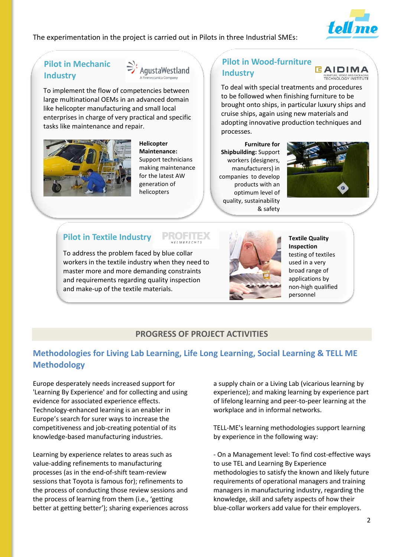

The experimentation in the project is carried out in Pilots in three Industrial SMEs:

### **Pilot in Mechanic Industry**



To implement the flow of competencies between large multinational OEMs in an advanced domain like helicopter manufacturing and small local enterprises in charge of very practical and specific tasks like maintenance and repair.



**Helicopter Maintenance:**  Support technicians making maintenance for the latest AW generation of helicopters

## **Pilot in Wood-furniture Industry**



To deal with special treatments and procedures to be followed when finishing furniture to be brought onto ships, in particular luxury ships and cruise ships, again using new materials and adopting innovative production techniques and processes.

**Furniture for Shipbuilding:** Support workers (designers, manufacturers) in companies to develop products with an optimum level of quality, sustainability & safety



## **Pilot in Textile Industry**

To address the problem faced by blue collar workers in the textile industry when they need to master more and more demanding constraints and requirements regarding quality inspection and make-up of the textile materials.



**Textile Quality Inspection**  testing of textiles used in a very broad range of applications by non-high qualified personnel

### **PROGRESS OF PROJECT ACTIVITIES**

## <span id="page-1-0"></span>**Methodologies for Living Lab Learning, Life Long Learning, Social Learning & TELL ME Methodology**

Europe desperately needs increased support for 'Learning By Experience' and for collecting and using evidence for associated experience effects. Technology-enhanced learning is an enabler in Europe's search for surer ways to increase the competitiveness and job-creating potential of its knowledge-based manufacturing industries.

Learning by experience relates to areas such as value-adding refinements to manufacturing processes (as in the end-of-shift team-review sessions that Toyota is famous for); refinements to the process of conducting those review sessions and the process of learning from them (i.e., 'getting better at getting better'); sharing experiences across a supply chain or a Living Lab (vicarious learning by experience); and making learning by experience part of lifelong learning and peer-to-peer learning at the workplace and in informal networks.

TELL-ME's learning methodologies support learning by experience in the following way:

- On a Management level: To find cost-effective ways to use TEL and Learning By Experience methodologies to satisfy the known and likely future requirements of operational managers and training managers in manufacturing industry, regarding the knowledge, skill and safety aspects of how their blue-collar workers add value for their employers.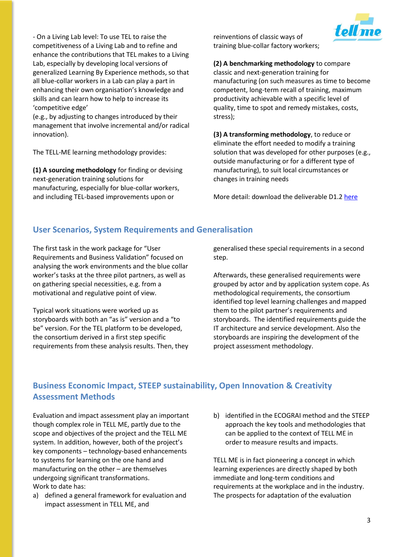- On a Living Lab level: To use TEL to raise the competitiveness of a Living Lab and to refine and enhance the contributions that TEL makes to a Living Lab, especially by developing local versions of generalized Learning By Experience methods, so that all blue-collar workers in a Lab can play a part in enhancing their own organisation's knowledge and skills and can learn how to help to increase its 'competitive edge'

(e.g., by adjusting to changes introduced by their management that involve incremental and/or radical innovation).

The TELL-ME learning methodology provides:

**(1) A sourcing methodology** for finding or devising next-generation training solutions for manufacturing, especially for blue-collar workers, and including TEL-based improvements upon or

reinventions of classic ways of training blue-collar factory workers;



#### **(2) A benchmarking methodology** to compare

classic and next-generation training for manufacturing (on such measures as time to become competent, long-term recall of training, maximum productivity achievable with a specific level of quality, time to spot and remedy mistakes, costs, stress);

**(3) A transforming methodology**, to reduce or eliminate the effort needed to modify a training solution that was developed for other purposes (e.g., outside manufacturing or for a different type of manufacturing), to suit local circumstances or changes in training needs

More detail: download the deliverable D1.2 [here](http://www.tellme-ip.eu/public-material/deliverables/d1.2-methodologies-for-living-lab-learning-life-long-learning-social-learning-tell-me-methodology-issue-1/at_download/file)

#### **User Scenarios, System Requirements and Generalisation**

The first task in the work package for "User Requirements and Business Validation" focused on analysing the work environments and the blue collar worker's tasks at the three pilot partners, as well as on gathering special necessities, e.g. from a motivational and regulative point of view.

Typical work situations were worked up as storyboards with both an "as is" version and a "to be" version. For the TEL platform to be developed, the consortium derived in a first step specific requirements from these analysis results. Then, they generalised these special requirements in a second step.

Afterwards, these generalised requirements were grouped by actor and by application system cope. As methodological requirements, the consortium identified top level learning challenges and mapped them to the pilot partner's requirements and storyboards. The identified requirements guide the IT architecture and service development. Also the storyboards are inspiring the development of the project assessment methodology.

### **Business Economic Impact, STEEP sustainability, Open Innovation & Creativity Assessment Methods**

Evaluation and impact assessment play an important though complex role in TELL ME, partly due to the scope and objectives of the project and the TELL ME system. In addition, however, both of the project's key components – technology-based enhancements to systems for learning on the one hand and manufacturing on the other – are themselves undergoing significant transformations. Work to date has:

- a) defined a general framework for evaluation and impact assessment in TELL ME, and
- b) identified in the ECOGRAI method and the STEEP approach the key tools and methodologies that can be applied to the context of TELL ME in order to measure results and impacts.

TELL ME is in fact pioneering a concept in which learning experiences are directly shaped by both immediate and long-term conditions and requirements at the workplace and in the industry. The prospects for adaptation of the evaluation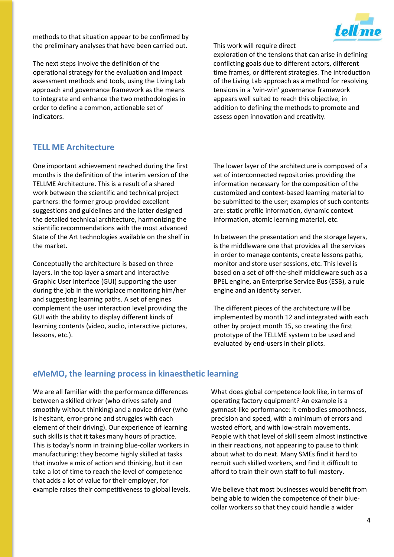methods to that situation appear to be confirmed by the preliminary analyses that have been carried out.

The next steps involve the definition of the operational strategy for the evaluation and impact assessment methods and tools, using the Living Lab approach and governance framework as the means to integrate and enhance the two methodologies in order to define a common, actionable set of indicators.

This work will require direct



exploration of the tensions that can arise in defining conflicting goals due to different actors, different time frames, or different strategies. The introduction of the Living Lab approach as a method for resolving tensions in a 'win-win' governance framework appears well suited to reach this objective, in addition to defining the methods to promote and assess open innovation and creativity.

#### **TELL ME Architecture**

One important achievement reached during the first months is the definition of the interim version of the TELLME Architecture. This is a result of a shared work between the scientific and technical project partners: the former group provided excellent suggestions and guidelines and the latter designed the detailed technical architecture, harmonizing the scientific recommendations with the most advanced State of the Art technologies available on the shelf in the market.

Conceptually the architecture is based on three layers. In the top layer a smart and interactive Graphic User Interface (GUI) supporting the user during the job in the workplace monitoring him/her and suggesting learning paths. A set of engines complement the user interaction level providing the GUI with the ability to display different kinds of learning contents (video, audio, interactive pictures, lessons, etc.).

The lower layer of the architecture is composed of a set of interconnected repositories providing the information necessary for the composition of the customized and context-based learning material to be submitted to the user; examples of such contents are: static profile information, dynamic context information, atomic learning material, etc.

In between the presentation and the storage layers, is the middleware one that provides all the services in order to manage contents, create lessons paths, monitor and store user sessions, etc. This level is based on a set of off-the-shelf middleware such as a BPEL engine, an Enterprise Service Bus (ESB), a rule engine and an identity server.

The different pieces of the architecture will be implemented by month 12 and integrated with each other by project month 15, so creating the first prototype of the TELLME system to be used and evaluated by end-users in their pilots.

#### <span id="page-3-0"></span>**eMeMO, the learning process in kinaesthetic learning**

We are all familiar with the performance differences between a skilled driver (who drives safely and smoothly without thinking) and a novice driver (who is hesitant, error-prone and struggles with each element of their driving). Our experience of learning such skills is that it takes many hours of practice. This is today's norm in training blue-collar workers in manufacturing: they become highly skilled at tasks that involve a mix of action and thinking, but it can take a lot of time to reach the level of competence that adds a lot of value for their employer, for example raises their competitiveness to global levels.

What does global competence look like, in terms of operating factory equipment? An example is a gymnast-like performance: it embodies smoothness, precision and speed, with a minimum of errors and wasted effort, and with low-strain movements. People with that level of skill seem almost instinctive in their reactions, not appearing to pause to think about what to do next. Many SMEs find it hard to recruit such skilled workers, and find it difficult to afford to train their own staff to full mastery.

We believe that most businesses would benefit from being able to widen the competence of their bluecollar workers so that they could handle a wider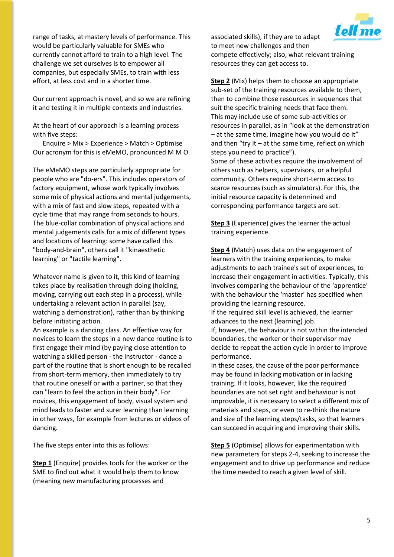range of tasks, at mastery levels of performance. This would be particularly valuable for SMEs who currently cannot afford to train to a high level. The challenge we set ourselves is to empower all companies, but especially SMEs, to train with less effort, at less cost and in a shorter time.

Our current approach is novel, and so we are refining it and testing it in multiple contexts and industries.

At the heart of our approach is a learning process with five steps:

Enquire > Mix > Experience > Match > Optimise Our acronym for this is eMeMO, pronounced M M O.

The eMeMO steps are particularly appropriate for people who are "do-ers". This includes operators of factory equipment, whose work typically involves some mix of physical actions and mental judgements, with a mix of fast and slow steps, repeated with a cycle time that may range from seconds to hours. The blue-collar combination of physical actions and mental judgements calls for a mix of different types and locations of learning: some have called this "body-and-brain", others call it "kinaesthetic learning" or "tactile learning".

Whatever name is given to it, this kind of learning takes place by realisation through doing (holding, moving, carrying out each step in a process), while undertaking a relevant action in parallel (say, watching a demonstration), rather than by thinking before initiating action.

An example is a dancing class. An effective way for novices to learn the steps in a new dance routine is to first engage their mind (by paying close attention to watching a skilled person - the instructor - dance a part of the routine that is short enough to be recalled from short-term memory, then immediately to try that routine oneself or with a partner, so that they can "learn to feel the action in their body". For novices, this engagement of body, visual system and mind leads to faster and surer learning than learning in other ways, for example from lectures or videos of dancing.

The five steps enter into this as follows:

**Step 1** (Enquire) provides tools for the worker or the SME to find out what it would help them to know (meaning new manufacturing processes and

associated skills), if they are to adapt to meet new challenges and then compete effectively; also, what relevant training resources they can get access to.

**Step 2** (Mix) helps them to choose an appropriate sub-set of the training resources available to them, then to combine those resources in sequences that suit the specific training needs that face them. This may include use of some sub-activities or resources in parallel, as in "look at the demonstration – at the same time, imagine how you would do it" and then "try it  $-$  at the same time, reflect on which steps you need to practice"). Some of these activities require the involvement of

others such as helpers, supervisors, or a helpful community. Others require short-term access to scarce resources (such as simulators). For this, the initial resource capacity is determined and corresponding performance targets are set.

**Step 3** (Experience) gives the learner the actual training experience.

**Step 4** (Match) uses data on the engagement of learners with the training experiences, to make adjustments to each trainee's set of experiences, to increase their engagement in activities. Typically, this involves comparing the behaviour of the 'apprentice' with the behaviour the 'master' has specified when providing the learning resource.

If the required skill level is achieved, the learner advances to the next (learning) job.

If, however, the behaviour is not within the intended boundaries, the worker or their supervisor may decide to repeat the action cycle in order to improve performance.

In these cases, the cause of the poor performance may be found in lacking motivation or in lacking training. If it looks, however, like the required boundaries are not set right and behaviour is not improvable, it is necessary to select a different mix of materials and steps, or even to re-think the nature and size of the learning steps/tasks, so that learners can succeed in acquiring and improving their skills.

**Step 5** (Optimise) allows for experimentation with new parameters for steps 2-4, seeking to increase the engagement and to drive up performance and reduce the time needed to reach a given level of skill.